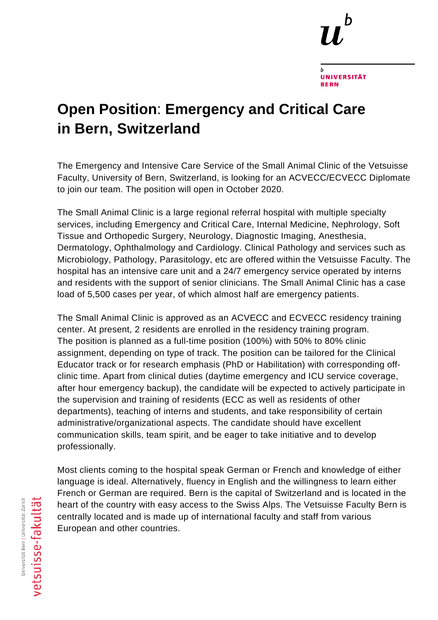

**UNIVERSITÄT** 

**RERN** 

## **Open Position**: **Emergency and Critical Care in Bern, Switzerland**

The Emergency and Intensive Care Service of the Small Animal Clinic of the Vetsuisse Faculty, University of Bern, Switzerland, is looking for an ACVECC/ECVECC Diplomate to join our team. The position will open in October 2020.

The Small Animal Clinic is a large regional referral hospital with multiple specialty services, including Emergency and Critical Care, Internal Medicine, Nephrology, Soft Tissue and Orthopedic Surgery, Neurology, Diagnostic Imaging, Anesthesia, Dermatology, Ophthalmology and Cardiology. Clinical Pathology and services such as Microbiology, Pathology, Parasitology, etc are offered within the Vetsuisse Faculty. The hospital has an intensive care unit and a 24/7 emergency service operated by interns and residents with the support of senior clinicians. The Small Animal Clinic has a case load of 5,500 cases per year, of which almost half are emergency patients.

The Small Animal Clinic is approved as an ACVECC and ECVECC residency training center. At present, 2 residents are enrolled in the residency training program. The position is planned as a full-time position (100%) with 50% to 80% clinic assignment, depending on type of track. The position can be tailored for the Clinical Educator track or for research emphasis (PhD or Habilitation) with corresponding offclinic time. Apart from clinical duties (daytime emergency and ICU service coverage, after hour emergency backup), the candidate will be expected to actively participate in the supervision and training of residents (ECC as well as residents of other departments), teaching of interns and students, and take responsibility of certain administrative/organizational aspects. The candidate should have excellent communication skills, team spirit, and be eager to take initiative and to develop professionally.

Most clients coming to the hospital speak German or French and knowledge of either language is ideal. Alternatively, fluency in English and the willingness to learn either French or German are required. Bern is the capital of Switzerland and is located in the heart of the country with easy access to the Swiss Alps. The Vetsuisse Faculty Bern is centrally located and is made up of international faculty and staff from various European and other countries.